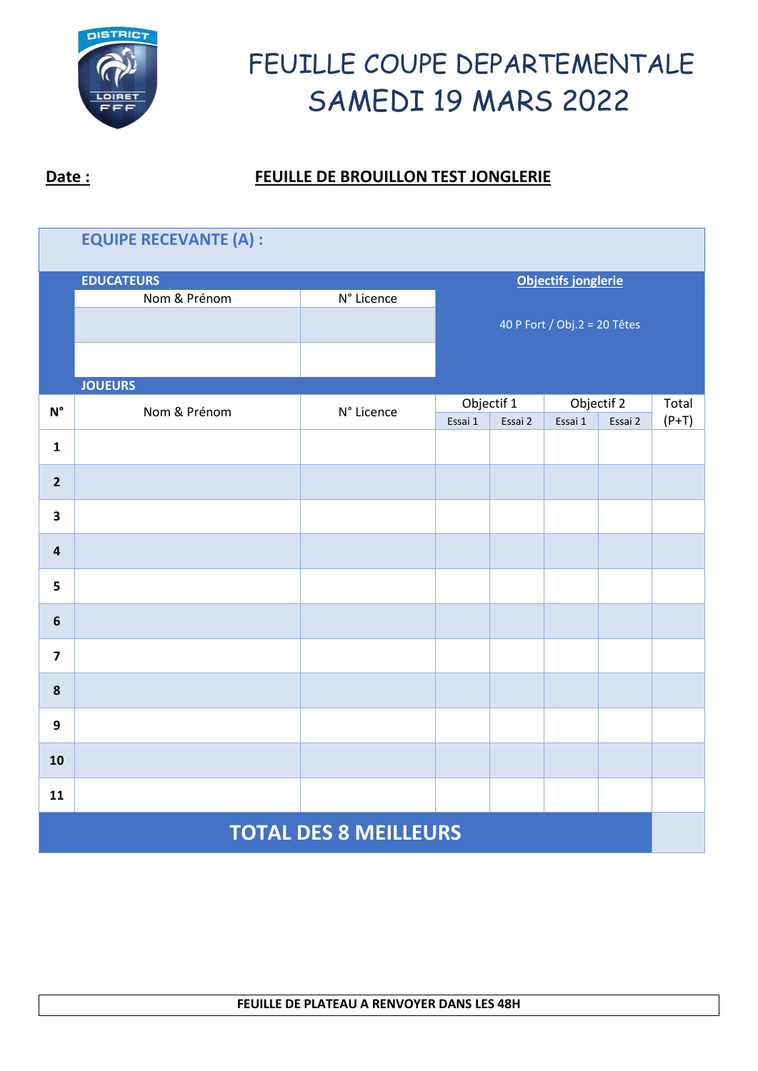

| <b>EQUIPE RECEVANTE (A) :</b> |                   |                            |                              |         |         |                       |                  |  |  |
|-------------------------------|-------------------|----------------------------|------------------------------|---------|---------|-----------------------|------------------|--|--|
|                               | <b>EDUCATEURS</b> | <b>Objectifs jonglerie</b> |                              |         |         |                       |                  |  |  |
|                               | Nom & Prénom      | N° Licence                 |                              |         |         |                       |                  |  |  |
|                               |                   |                            | 40 P Fort / Obj.2 = 20 Têtes |         |         |                       |                  |  |  |
|                               |                   |                            |                              |         |         |                       |                  |  |  |
|                               | <b>JOUEURS</b>    |                            |                              |         |         |                       |                  |  |  |
| $\textsf{N}^\circ$            | Nom & Prénom      | N° Licence                 | Objectif 1<br>Essai 1        | Essai 2 | Essai 1 | Objectif 2<br>Essai 2 | Total<br>$(P+T)$ |  |  |
|                               |                   |                            |                              |         |         |                       |                  |  |  |
| $\mathbf{1}$                  |                   |                            |                              |         |         |                       |                  |  |  |
| $\overline{2}$                |                   |                            |                              |         |         |                       |                  |  |  |
| 3                             |                   |                            |                              |         |         |                       |                  |  |  |
| $\overline{\mathbf{4}}$       |                   |                            |                              |         |         |                       |                  |  |  |
| 5                             |                   |                            |                              |         |         |                       |                  |  |  |
| $6\phantom{1}$                |                   |                            |                              |         |         |                       |                  |  |  |
| $\overline{\mathbf{z}}$       |                   |                            |                              |         |         |                       |                  |  |  |
| $\pmb{8}$                     |                   |                            |                              |         |         |                       |                  |  |  |
| 9                             |                   |                            |                              |         |         |                       |                  |  |  |
| 10                            |                   |                            |                              |         |         |                       |                  |  |  |
| 11                            |                   |                            |                              |         |         |                       |                  |  |  |
| <b>TOTAL DES 8 MEILLEURS</b>  |                   |                            |                              |         |         |                       |                  |  |  |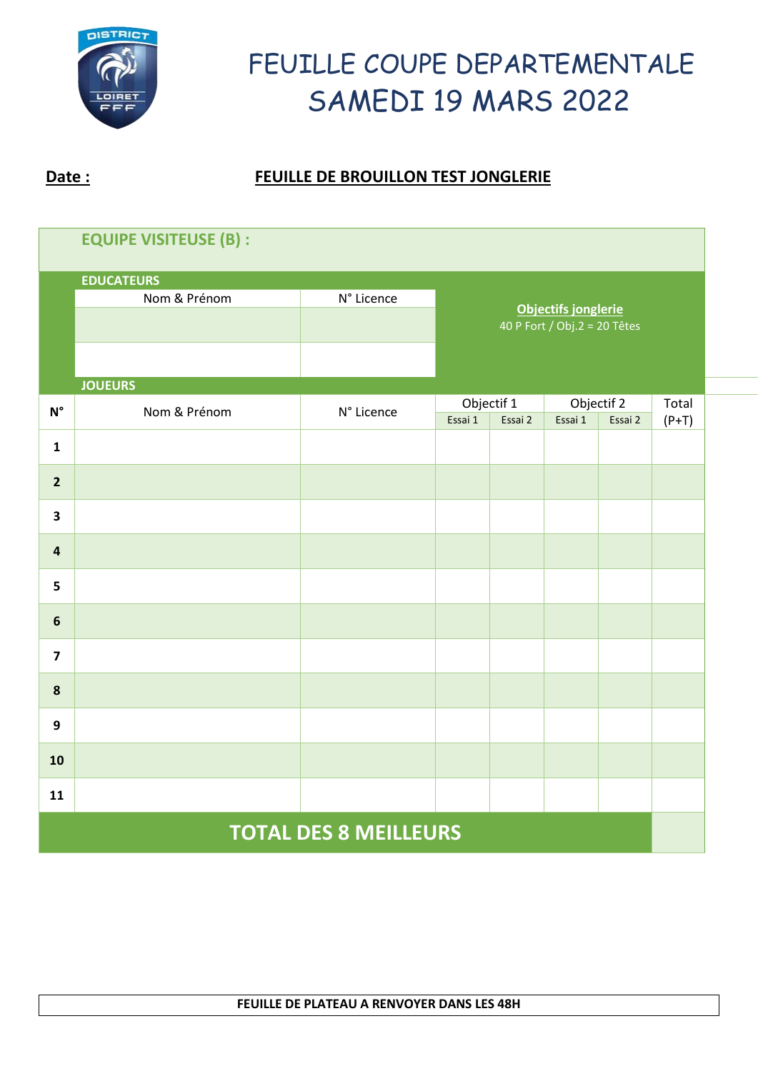

| <b>EQUIPE VISITEUSE (B):</b> |                |            |                                                     |                       |         |                       |                  |  |  |
|------------------------------|----------------|------------|-----------------------------------------------------|-----------------------|---------|-----------------------|------------------|--|--|
| <b>EDUCATEURS</b>            |                |            |                                                     |                       |         |                       |                  |  |  |
|                              | Nom & Prénom   | N° Licence |                                                     |                       |         |                       |                  |  |  |
|                              |                |            | Objectifs jonglerie<br>40 P Fort / Obj.2 = 20 Têtes |                       |         |                       |                  |  |  |
|                              |                |            |                                                     |                       |         |                       |                  |  |  |
|                              | <b>JOUEURS</b> |            |                                                     |                       |         |                       |                  |  |  |
| $\textsf{N}^\circ$           | Nom & Prénom   | N° Licence | Essai 1                                             | Objectif 1<br>Essai 2 |         | Objectif 2<br>Essai 2 | Total<br>$(P+T)$ |  |  |
| $\mathbf{1}$                 |                |            |                                                     |                       | Essai 1 |                       |                  |  |  |
| $\overline{2}$               |                |            |                                                     |                       |         |                       |                  |  |  |
| $\overline{\mathbf{3}}$      |                |            |                                                     |                       |         |                       |                  |  |  |
| $\overline{\mathbf{4}}$      |                |            |                                                     |                       |         |                       |                  |  |  |
| 5                            |                |            |                                                     |                       |         |                       |                  |  |  |
| $\bf 6$                      |                |            |                                                     |                       |         |                       |                  |  |  |
| $\overline{\mathbf{z}}$      |                |            |                                                     |                       |         |                       |                  |  |  |
| $\pmb{8}$                    |                |            |                                                     |                       |         |                       |                  |  |  |
| 9                            |                |            |                                                     |                       |         |                       |                  |  |  |
| 10                           |                |            |                                                     |                       |         |                       |                  |  |  |
| 11                           |                |            |                                                     |                       |         |                       |                  |  |  |
| <b>TOTAL DES 8 MEILLEURS</b> |                |            |                                                     |                       |         |                       |                  |  |  |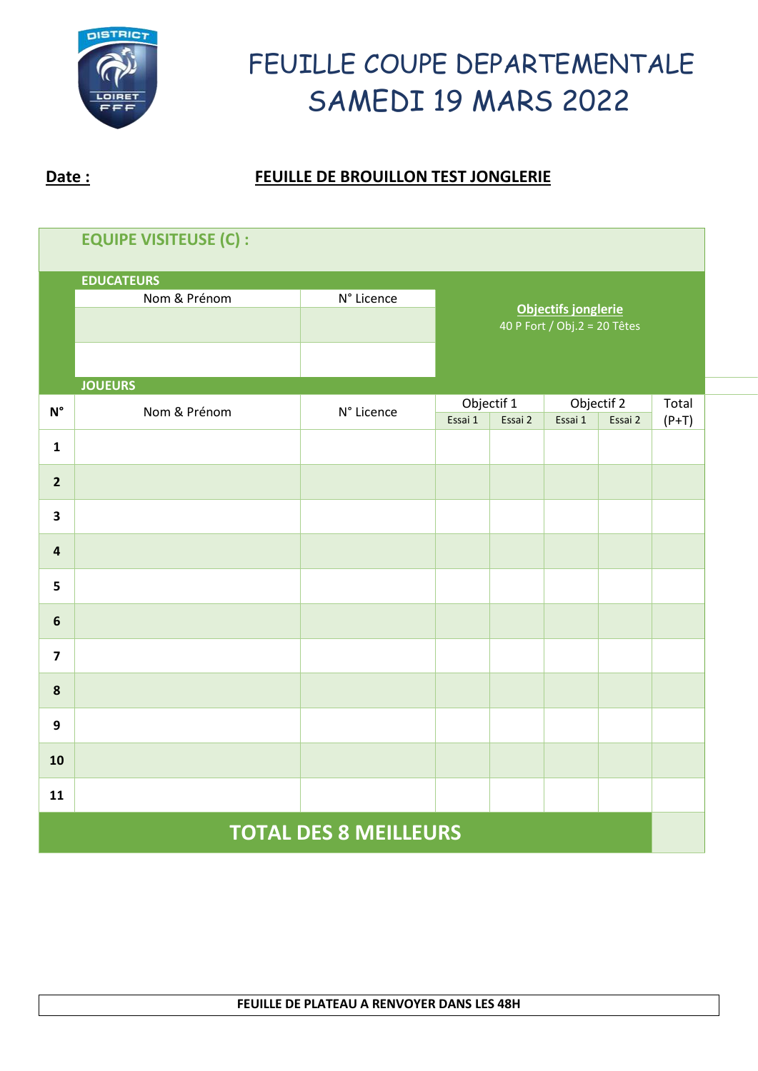

| <b>EQUIPE VISITEUSE (C):</b> |                |            |                                                            |  |         |                       |                  |  |  |
|------------------------------|----------------|------------|------------------------------------------------------------|--|---------|-----------------------|------------------|--|--|
| <b>EDUCATEURS</b>            |                |            |                                                            |  |         |                       |                  |  |  |
|                              | Nom & Prénom   | N° Licence | <b>Objectifs jonglerie</b><br>40 P Fort / Obj.2 = 20 Têtes |  |         |                       |                  |  |  |
|                              |                |            |                                                            |  |         |                       |                  |  |  |
|                              |                |            |                                                            |  |         |                       |                  |  |  |
|                              | <b>JOUEURS</b> |            |                                                            |  |         |                       |                  |  |  |
| $\textsf{N}^\circ$           | Nom & Prénom   | N° Licence | Objectif 1<br>Essai 1<br>Essai 2                           |  | Essai 1 | Objectif 2<br>Essai 2 | Total<br>$(P+T)$ |  |  |
| $\mathbf{1}$                 |                |            |                                                            |  |         |                       |                  |  |  |
| $\overline{2}$               |                |            |                                                            |  |         |                       |                  |  |  |
| $\overline{\mathbf{3}}$      |                |            |                                                            |  |         |                       |                  |  |  |
| $\overline{\mathbf{4}}$      |                |            |                                                            |  |         |                       |                  |  |  |
| 5                            |                |            |                                                            |  |         |                       |                  |  |  |
| $\boldsymbol{6}$             |                |            |                                                            |  |         |                       |                  |  |  |
| $\overline{\mathbf{z}}$      |                |            |                                                            |  |         |                       |                  |  |  |
| $\pmb{8}$                    |                |            |                                                            |  |         |                       |                  |  |  |
| $\boldsymbol{9}$             |                |            |                                                            |  |         |                       |                  |  |  |
| 10                           |                |            |                                                            |  |         |                       |                  |  |  |
| 11                           |                |            |                                                            |  |         |                       |                  |  |  |
| <b>TOTAL DES 8 MEILLEURS</b> |                |            |                                                            |  |         |                       |                  |  |  |